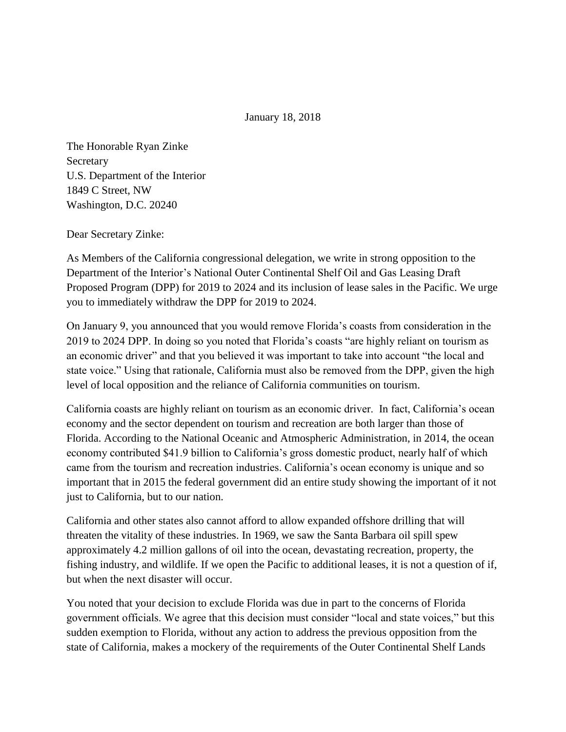January 18, 2018

The Honorable Ryan Zinke Secretary U.S. Department of the Interior 1849 C Street, NW Washington, D.C. 20240

Dear Secretary Zinke:

As Members of the California congressional delegation, we write in strong opposition to the Department of the Interior's National Outer Continental Shelf Oil and Gas Leasing Draft Proposed Program (DPP) for 2019 to 2024 and its inclusion of lease sales in the Pacific. We urge you to immediately withdraw the DPP for 2019 to 2024.

On January 9, you announced that you would remove Florida's coasts from consideration in the 2019 to 2024 DPP. In doing so you noted that Florida's coasts "are highly reliant on tourism as an economic driver" and that you believed it was important to take into account "the local and state voice." Using that rationale, California must also be removed from the DPP, given the high level of local opposition and the reliance of California communities on tourism.

California coasts are highly reliant on tourism as an economic driver. In fact, California's ocean economy and the sector dependent on tourism and recreation are both larger than those of Florida. According to the National Oceanic and Atmospheric Administration, in 2014, the ocean economy contributed \$41.9 billion to California's gross domestic product, nearly half of which came from the tourism and recreation industries. California's ocean economy is unique and so important that in 2015 the federal government did an entire study showing the important of it not just to California, but to our nation.

California and other states also cannot afford to allow expanded offshore drilling that will threaten the vitality of these industries. In 1969, we saw the Santa Barbara oil spill spew approximately 4.2 million gallons of oil into the ocean, devastating recreation, property, the fishing industry, and wildlife. If we open the Pacific to additional leases, it is not a question of if, but when the next disaster will occur.

You noted that your decision to exclude Florida was due in part to the concerns of Florida government officials. We agree that this decision must consider "local and state voices," but this sudden exemption to Florida, without any action to address the previous opposition from the state of California, makes a mockery of the requirements of the Outer Continental Shelf Lands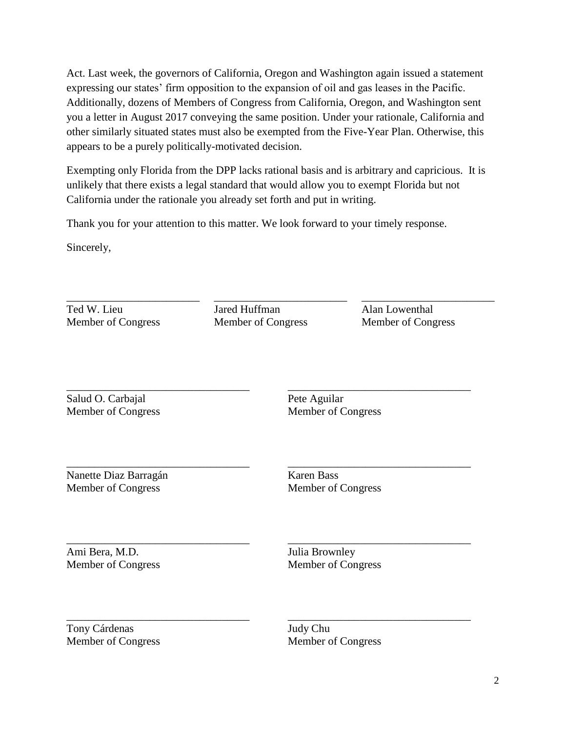Act. Last week, the governors of California, Oregon and Washington again issued a statement expressing our states' firm opposition to the expansion of oil and gas leases in the Pacific. Additionally, dozens of Members of Congress from California, Oregon, and Washington sent you a letter in August 2017 conveying the same position. Under your rationale, California and other similarly situated states must also be exempted from the Five-Year Plan. Otherwise, this appears to be a purely politically-motivated decision.

Exempting only Florida from the DPP lacks rational basis and is arbitrary and capricious. It is unlikely that there exists a legal standard that would allow you to exempt Florida but not California under the rationale you already set forth and put in writing.

Thank you for your attention to this matter. We look forward to your timely response.

Sincerely,

Ted W. Lieu Member of Congress

\_\_\_\_\_\_\_\_\_\_\_\_\_\_\_\_\_\_\_\_\_\_\_\_

Jared Huffman Member of Congress

\_\_\_\_\_\_\_\_\_\_\_\_\_\_\_\_\_\_\_\_\_\_\_\_

Alan Lowenthal Member of Congress

\_\_\_\_\_\_\_\_\_\_\_\_\_\_\_\_\_\_\_\_\_\_\_\_\_\_\_\_\_\_\_\_\_

\_\_\_\_\_\_\_\_\_\_\_\_\_\_\_\_\_\_\_\_\_\_\_\_\_\_\_\_\_\_\_\_\_

\_\_\_\_\_\_\_\_\_\_\_\_\_\_\_\_\_\_\_\_\_\_\_\_\_\_\_\_\_\_\_\_\_

\_\_\_\_\_\_\_\_\_\_\_\_\_\_\_\_\_\_\_\_\_\_\_\_\_\_\_\_\_\_\_\_\_

\_\_\_\_\_\_\_\_\_\_\_\_\_\_\_\_\_\_\_\_\_\_\_\_

\_\_\_\_\_\_\_\_\_\_\_\_\_\_\_\_\_\_\_\_\_\_\_\_\_\_\_\_\_\_\_\_\_ Salud O. Carbajal Member of Congress

Pete Aguilar Member of Congress

\_\_\_\_\_\_\_\_\_\_\_\_\_\_\_\_\_\_\_\_\_\_\_\_\_\_\_\_\_\_\_\_\_ Nanette Diaz Barragán Member of Congress

Karen Bass Member of Congress

\_\_\_\_\_\_\_\_\_\_\_\_\_\_\_\_\_\_\_\_\_\_\_\_\_\_\_\_\_\_\_\_\_ Ami Bera, M.D. Member of Congress

Julia Brownley Member of Congress

\_\_\_\_\_\_\_\_\_\_\_\_\_\_\_\_\_\_\_\_\_\_\_\_\_\_\_\_\_\_\_\_\_ Tony Cárdenas Member of Congress

Judy Chu Member of Congress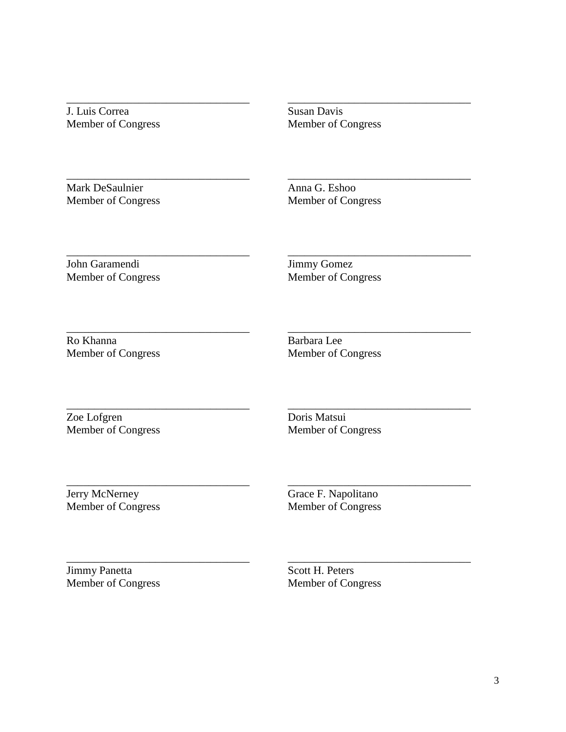J. Luis Correa Member of Congress

\_\_\_\_\_\_\_\_\_\_\_\_\_\_\_\_\_\_\_\_\_\_\_\_\_\_\_\_\_\_\_\_\_

\_\_\_\_\_\_\_\_\_\_\_\_\_\_\_\_\_\_\_\_\_\_\_\_\_\_\_\_\_\_\_\_\_

\_\_\_\_\_\_\_\_\_\_\_\_\_\_\_\_\_\_\_\_\_\_\_\_\_\_\_\_\_\_\_\_\_

\_\_\_\_\_\_\_\_\_\_\_\_\_\_\_\_\_\_\_\_\_\_\_\_\_\_\_\_\_\_\_\_\_

\_\_\_\_\_\_\_\_\_\_\_\_\_\_\_\_\_\_\_\_\_\_\_\_\_\_\_\_\_\_\_\_\_

\_\_\_\_\_\_\_\_\_\_\_\_\_\_\_\_\_\_\_\_\_\_\_\_\_\_\_\_\_\_\_\_\_

\_\_\_\_\_\_\_\_\_\_\_\_\_\_\_\_\_\_\_\_\_\_\_\_\_\_\_\_\_\_\_\_\_

Susan Davis Member of Congress

\_\_\_\_\_\_\_\_\_\_\_\_\_\_\_\_\_\_\_\_\_\_\_\_\_\_\_\_\_\_\_\_\_

\_\_\_\_\_\_\_\_\_\_\_\_\_\_\_\_\_\_\_\_\_\_\_\_\_\_\_\_\_\_\_\_\_

\_\_\_\_\_\_\_\_\_\_\_\_\_\_\_\_\_\_\_\_\_\_\_\_\_\_\_\_\_\_\_\_\_

\_\_\_\_\_\_\_\_\_\_\_\_\_\_\_\_\_\_\_\_\_\_\_\_\_\_\_\_\_\_\_\_\_

\_\_\_\_\_\_\_\_\_\_\_\_\_\_\_\_\_\_\_\_\_\_\_\_\_\_\_\_\_\_\_\_\_

\_\_\_\_\_\_\_\_\_\_\_\_\_\_\_\_\_\_\_\_\_\_\_\_\_\_\_\_\_\_\_\_\_

\_\_\_\_\_\_\_\_\_\_\_\_\_\_\_\_\_\_\_\_\_\_\_\_\_\_\_\_\_\_\_\_\_

Mark DeSaulnier Member of Congress Anna G. Eshoo Member of Congress

John Garamendi Member of Congress Jimmy Gomez Member of Congress

Ro Khanna Member of Congress Barbara Lee Member of Congress

Zoe Lofgren Member of Congress Doris Matsui Member of Congress

Jerry McNerney Member of Congress Grace F. Napolitano Member of Congress

Jimmy Panetta Member of Congress

Scott H. Peters Member of Congress